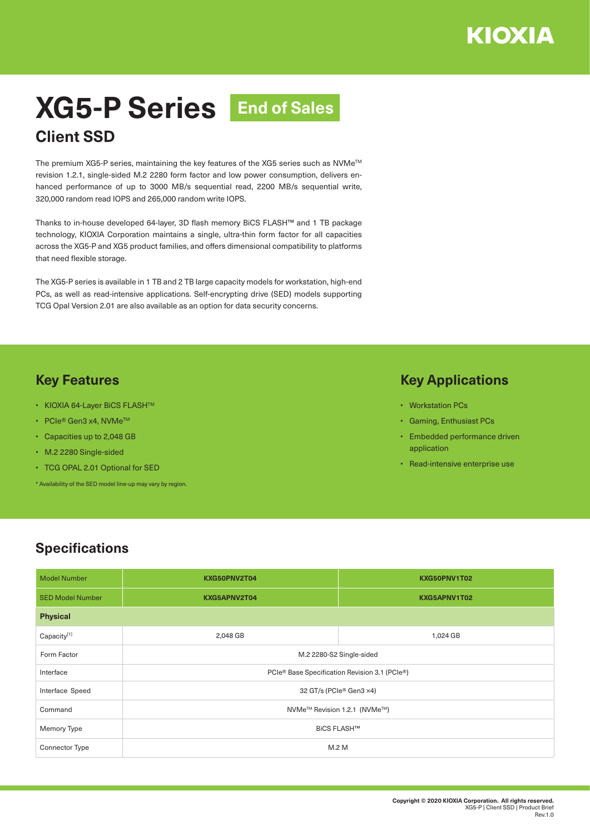# **XG5-P Series End of SalesClient SSD**

The premium XG5-P series, maintaining the key features of the XG5 series such as NVMe™ revision 1.2.1, single-sided M.2 2280 form factor and low power consumption, delivers enhanced performance of up to 3000 MB/s sequential read, 2200 MB/s sequential write, 320,000 random read IOPS and 265,000 random write IOPS.

Thanks to in-house developed 64-layer, 3D flash memory BiCS FLASH™ and 1 TB package technology, KIOXIA Corporation maintains a single, ultra-thin form factor for all capacities across the XG5-P and XG5 product families, and offers dimensional compatibility to platforms that need flexible storage.

The XG5-P series is available in 1 TB and 2 TB large capacity models for workstation, high-end PCs, as well as read-intensive applications. Self-encrypting drive (SED) models supporting TCG Opal Version 2.01 are also available as an option for data security concerns.

### **Key Features**

- KIOXIA 64-Layer BiCS FLASHTM
- PCIe® Gen3 x4, NVMe<sup>TM</sup>
- Capacities up to 2,048 GB
- M.2 2280 Single-sided
- TCG OPAL 2.01 Optional for SED
- \* Availability of the SED model line-up may vary by region.

#### **Key Applications**

- Workstation PCs
- Gaming, Enthusiast PCs
- Embedded performance driven application
- Read-intensive enterprise use

## **Specifications**

| <b>Model Number</b>     | KXG50PNV2T04                                          | KXG50PNV1T02 |  |
|-------------------------|-------------------------------------------------------|--------------|--|
| <b>SED Model Number</b> | KXG5APNV2T04                                          | KXG5APNV1T02 |  |
| <b>Physical</b>         |                                                       |              |  |
| Capacity[1]             | 2,048 GB                                              | 1,024 GB     |  |
| Form Factor             | M.2 2280-S2 Single-sided                              |              |  |
| Interface               | PCIe® Base Specification Revision 3.1 (PCIe®)         |              |  |
| Interface Speed         | 32 GT/s (PCIe® Gen3 ×4)                               |              |  |
| Command                 | NVMe <sup>™</sup> Revision 1.2.1 (NVMe <sup>™</sup> ) |              |  |
| Memory Type             | <b>BiCS FLASH™</b>                                    |              |  |
| <b>Connector Type</b>   | M.2 M                                                 |              |  |